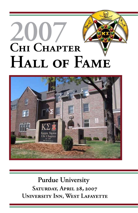# **2007** CHI CHAPTER HALL OF FAME



**Purdue University SATURDAY, APRIL 28, 2007 UNIVERSITY INN, WEST LAFAYETTE**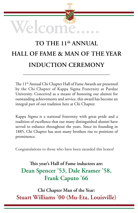

# TO THE 11<sup>th</sup> ANNUAL **HALL OF FAME & MAN OF THE YEAR INDUCTION CEREMONY**

The 11<sup>th</sup> Annual Chi Chapter Hall of Fame Awards are presented by the Chi Chapter of Kappa Sigma Fraternity at Purdue University. Conceived as a means of honoring our alumni for outstanding achievements and service, this award has become an integral part of our tradition here at Chi Chapter.

Kappa Sigma is a national fraternity with great pride and a tradition of excellence that our many distinguished alumni have served to enhance throughout the years. Since its founding in 1885, Chi Chapter has seen many brothers rise to positions of prominence.

Congratulations to those who have been awarded this honor!

## This year's Hall of Fame inductees are: Dean Spencer '53, Dale Kramer '58, Frank Caputo '66

Chi Chapter Man of the Year: Stuart Williams '00 (Mu-Eta, Louisville)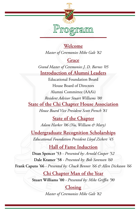

#### Welcome

Master of Ceremonies Mike Galt '82

#### Grace

Grand Master of Ceremonies J. D. Barnes '05 **Introduction of Alumni Leaders** 

**Educational Foundation Board** House Board of Directors Alumni Committee (AAA's) Resident Advisor Stuart Williams '00 **State of the Chi Chapter House Association** 

House Board Vice President Scott French '81

**State of the Chapter** Adam Harker '06 (Nu, William & Mary)

**Undergraduate Recognition Scholarships** Educational Foundation President Lloyd Zickert '45

**Hall of Fame Induction** 

Dean Spencer '53 - Presented by: Arnold Cooper '52 Dale Kramer '58 - Presented by: Bob Sorensen '60 Frank Caputo '66 - Presented by: Chuck Benner '66 & Allen Dickason '66

> Chi Chapter Man of the Year Stuart Williams '00 - Presented by: Mike Griffin '90

### **Closing**

Master of Ceremonies Mike Galt '82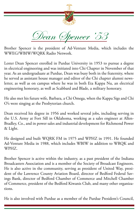

Brother Spencer is the president of Ad-Venture Media, which includes the WWEG/WBIW/WQRK Radio Network.

Lester Dean Spencer enrolled in Purdue University in 1953 to pursue a degree in electrical engineering and was initiated into Chi Chapter in November of that year. As an undergraduate at Purdue, Dean was busy both in the fraternity, where he served as assistant house manager and editor of the Chi chapter alumni newsletter, as well as on campus where he was in both Eta Kappa Nu, an electrical engineering honorary, as well as Scabbard and Blade, a military honorary.

He also met his future wife, Barbara, a Chi Omega, when the Kappa Sigs and Chi O's were singing at the Presbyterian church.

Dean received his degree in 1956 and worked several jobs, including serving in the U.S. Army at Fort Sill in Oklahoma, working as a sales engineer at Allen-Bradley, Co., and in power sales and industrial development for Richmond Power & Light.

He designed and built WQRK FM in 1975 and WPHZ in 1991. He founded Ad-Venture Media in 1988, which includes WBIW in addition to WRQK and WPHZ.

Brother Spencer is active within the industry, as a past president of the Indiana Broadcasters Association and is a member of the Society of Broadcast Engineers. He is also active in the community, serving as president of United Way, president of the Lawrence County Aviation Board, director of Bedford Federal Savings Bank, director of Bedford Chamber of Commerce and Mitchell Chamber of Commerce, president of the Bedford Kiwanis Club, and many other organizations.

He is also involved with Purdue as a member of the Purdue President's Council,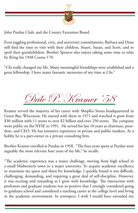

John Purdue Club, and the County Extension Board.

Even juggling professional, civic, and university commitments, Barbara and Dean still find the time to visit with their children, Stuart, Susan, and Scott, and to spoil their grandchildren. Brother Spencer also enjoys taking some time to relax by flying his 1948 Cessna 170.

"Chi really changed my life. Many meaningful friendships were established and a great fellowship. I have many fantastic memories of my time at Chi."



Kramer served the majority of his career with ShopKo Stores headquartered in Green Bay, Wisconsin. He started with them in 1971 and watched it grow from \$30 million with 11 stores to over \$2 billion and over 250 stores. The company went public on the NYSE in 1991. He served his last 10 years as chairman, president, and CEO. He has extensive experience in private and public markets. As a hobby he is a part-owner in a private consulting firm.

Brother Kramer enrolled at Purdue in 1958. "The four years spent at Purdue were arguably the most relevant four years of my life," he recalls.

"The academic experience was a major challenge, moving from high school in a small Midwestern town to a major university. To acquire academic excellence or maximize my quest and thirst for knowledge, I quickly found it was difficult, challenging, demanding, and requiring a great deal of self-discipline. However, it was exciting and rewarding as I grew with knowledge. The interaction with professors and graduate students was so positive that I strongly considered going to graduate school and considered a teaching career at the college level and living in the academic environment. In retrospect, I wish I would have extended my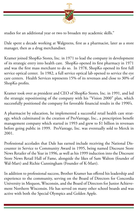

studies for an additional year or two to broaden my academic skills."

Dale spent a decade working at Walgreens, first as a pharmacist, later as a store manager, then as a drug merchandiser.

Kramer joined ShopKo Stores, Inc. in 1971 to lead the company in development of its strategic entry into health care. ShopKo opened its first pharmacy in 1971 and was the first mass merchant to do so. In 1978, ShopKo opened its first full service optical center. In 1982, a full service optical lab opened to service the eye care centers. Health Services represents 15% of its revenues and close to 30% of ShopKo profits.

Kramer took over as president and CEO of ShopKo Stores, Inc. in 1991, and led the strategic repositioning of the company with his "Vision 2000" plan, which successfully positioned the company for favorable financial results in the 1990's.

A pharmacist by education, he implemented a successful retail health care strategy, which culminated in the creation of ProVantage, Inc., a prescription benefit management company which started in 1993 and grew to \$1 billion in revenues before going public in 1999. ProVantage, Inc. was eventually sold to Merck in 2001.

Professional accolades that Dale has earned include receiving the National Discounter in Service to Community Award in 1995, being named Discount Store News Retailer of the Year in 1996, as well as his 1999 induction into the Discount Store News Retail Hall of Fame, alongside the likes of Sam Walton (founder of Wal-Mart) and Richie Cunningham (Founder of K-Mart).

In addition to professional success, Brother Kramer has offered his leadership and experience to the community, serving on the Board of Directors for Concordia University in Mequon, Wisconsin, and the Board of Directors for Junior Achievement Northern Wisconsin. He has served on many other school boards and was active with both the Special Olympics and Golden Apple.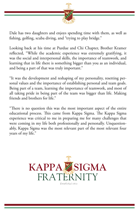

Dale has two daughters and enjoys spending time with them, as well as fishing, golfing, scuba diving, and "trying to play bridge."

Looking back at his time at Purdue and Chi Chapter, Brother Kramer reflected, "While the academic experience was extremely gratifying, it was the social and interpersonal skills, the importance of teamwork, and learning that in life there is something bigger than you as an individual, and being a part of that was truly important."

"It was the development and reshaping of my personality, resetting personal values and the importance of establishing personal and team goals. Being part of a team, learning the importance of teamwork, and most of all taking pride in being part of the team was bigger than life. Making friends and brothers for life."

"There is no question this was the most important aspect of the entire educational process. This came from Kappa Sigma. The Kappa Sigma experience was critical to me in preparing me for many challenges that were coming in my life both professionally and personally. Unquestionably, Kappa Sigma was the most relevant part of the most relevant four years of my life."

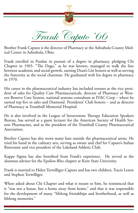

Brother Frank Caputo is the director of Pharmacy at the Ashtabula County Medical Center in Ashtabula, Ohio.

Frank enrolled in Purdue in pursuit of a degree in pharmacy, pledging Chi Chapter in 1965. "The Dago," as he was known, managed to walk the line between academic and social growth, earning Dean's List honors as well as serving the fraternity as the social chairman. He graduated with his degree in pharmacy in 1970.

His career in the pharmaceutical industry has included tenures as the vice president of sales for Quality Care Pharmaceuticals, director of Pharmacy at Western Reserve Care System, national systems consultant at IVAC Corp – where he earned top five in sales and Diamond Presidents' Club honors – and as director of Pharmacy at Trumbull Memorial Hospital.

He is also involved in the League of Intravenous Therapy Education Speakers Bureau, has served as a guest lecturer for the American Society of Health System Pharmacists, and as the president of the Trumbull County Pharmaceutical Association.

Brother Caputo has also worn many hats outside the pharmaceutical arena. He tried his hand in the culinary arts, serving as owner and chef for Caputo's Italian Ristorante and vice president of the Lakeland Athletic Club.

Kappa Sigma has also benefited from Frank's experience. He served as the alumnus advisor for the Epsilon-Rho chapter at Kent State University.

Frank is married to Helen Terwilliger-Caputo and has two children, Tracie Lenox and Stephen Terwilliger.

When asked about Chi Chapter and what it meant to him, he reminisced that it "was not a house, but a home away from home," and that it was responsible for the development of many "lifelong friendships and brotherhood, as well as lifelong memories."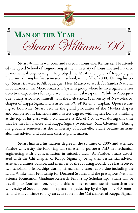

Stuart Williams was born and raised in Louisville, Kentucky. He attended the Speed School of Engineering at the University of Louisville and majored in mechanical engineering. He pledged the Mu-Eta Chapter of Kappa Sigma Fraternity during his first semester in school, in the fall of 2000. During his coop, Stuart traveled to Albuquerque, New Mexico to work for Sandia National Laboratories in the Micro Analytical Systems group where he investigated sensor detection capabilities for explosives and chemical weapons. While in Albuquerque, Stuart associated himself with the Delta-Zeta (University of New Mexico) chapter of Kappa Sigma and assisted then-WGP Kevin S. Kaplan. Upon returning to Louisville, Stuart became the grand procurator of the Mu-Eta chapter and completed his bachelors and masters degrees with highest honors, finishing at the top of his class with a cumulative G.P.A. of 4.0. It was during this time that he met his fiancée and Kappa Sigma sweetheart, Sara Clemons. During his graduate semesters at the University of Louisville, Stuart became assistant alumnus advisor and assistant district grand master.

Stuart finished his masters degree in the summer of 2005 and attended Purdue University the following fall semester to pursue a PhD in mechanical engineering with a concentration in microfluidics. At Purdue, Stuart associated with the Chi chapter of Kappa Sigma by being their residential advisor, assistant alumnus advisor, and member of the Housing Board. He has received two scholarship fellowships during his academic career at Purdue including the Laura Winkelman Fellowship for Doctoral Studies and the prestigious National Science Foundation Graduate Research Fellowship Scholarship. Stuart will be traveling to Southampton, England this summer to continue his research at the University of Southampton. He plans on graduating by the Spring 2010 semester and will continue to play an active role in the Chi chapter of Kappa Sigma.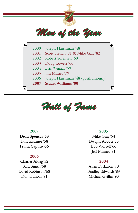



#### **2007**

**Dean Spencer '53 Dale Kramer '58 Frank Caputo '66**

#### **2006**

Charles Aldag '52 Sam Smith '58 David Robinson '68 Don Dunbar '81

#### **2005**

Mike Gray '54 Dwight Abbott '55 Bob Worrell '66 Jeff Minner '81

#### **2004**

Allen Dickason '70 Bradley Edwards '83 Michael Griffin '90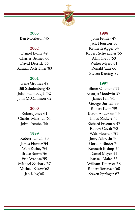

**2003** Ben Mottleson '45

#### **2002**

Daniel Evans '49 Charles Benner '66 David Derrick '66 Samual Rich Tiller '83

#### **2001**

Gene Grotnes '48 Bill Schulenberg '48 John Haimbaugh '52 John McCammon '62

#### **2000**

Robert Jones '61 Charles Marshall '61 John Prentice '66

#### **1999**

Robert Landis '30 James Hunter '54 Walt Richey '54 Bruce Storm '56 Eric Wenaas '59 Michael Zachary '67 Michael Eskew '68 Jan King '68

#### **1998**

John Feinler '47 Jack Houston '50 Kenneth Appel '54 Robert Schweikher '55 Alan Crebo '60 Walter Myers '61 Ronald Yara '66 Steven Beering '85

#### **1997**

Elmer Oliphant '11 George Goodwin '27 James Hill '31 George Burnell '33 Robert Keim '39 Byron Anderson '45 Lloyd Zickert '45 Richard Freeman '47 Robert Covalt '50 Walt Houston '51 Jerry Albrecht '54 Gordon Binder '54 Kenneth Bishop '54 Daniel Meyer '55 Russell Maier '56 William Topercer '58 Robert Sorensen '60 Steven Springer '67